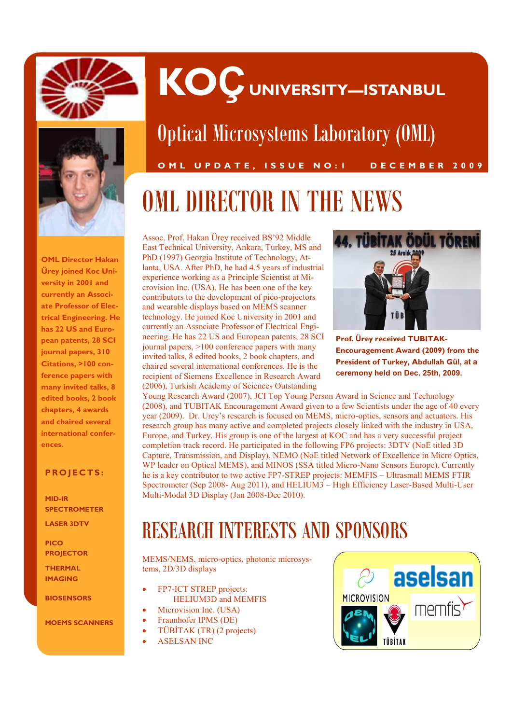



Optical Microsystems Laboratory (OML)

**KOÇ UNIVERSITY—ISTANBUL**

**O M L U P D A T E , I S S U E N O : 1 D E C E M B E R 2 0 0 9**

# OML DIRECTOR IN THE NEWS

**OML Director Hakan Ürey joined Koc University in 2001 and currently an Associate Professor of Electrical Engineering. He has 22 US and European patents, 28 SCI journal papers, 310 Citations, >100 conference papers with many invited talks, 8 edited books, 2 book chapters, 4 awards and chaired several international conferences.**

#### **P R O J E C TS :**

**MID-IR SPECTROMETER**

**LASER 3DTV** 

**PICO PROJECTOR** 

**THERMAL IMAGING** 

**BIOSENSORS**

**MOEMS SCANNERS**

Assoc. Prof. Hakan Ürey received BS'92 Middle East Technical University, Ankara, Turkey, MS and PhD (1997) Georgia Institute of Technology, Atlanta, USA. After PhD, he had 4.5 years of industrial experience working as a Principle Scientist at Microvision Inc. (USA). He has been one of the key contributors to the development of pico-projectors and wearable displays based on MEMS scanner technology. He joined Koc University in 2001 and currently an Associate Professor of Electrical Engineering. He has 22 US and European patents, 28 SCI journal papers, >100 conference papers with many invited talks, 8 edited books, 2 book chapters, and chaired several international conferences. He is the recipient of Siemens Excellence in Research Award (2006), Turkish Academy of Sciences Outstanding



**Prof. Ürey received TUBITAK-Encouragement Award (2009) from the President of Turkey, Abdullah Gül, at a ceremony held on Dec. 25th, 2009.**

Young Research Award (2007), JCI Top Young Person Award in Science and Technology (2008), and TUBITAK Encouragement Award given to a few Scientists under the age of 40 every year (2009). Dr. Urey's research is focused on MEMS, micro-optics, sensors and actuators. His research group has many active and completed projects closely linked with the industry in USA, Europe, and Turkey. His group is one of the largest at KOC and has a very successful project completion track record. He participated in the following FP6 projects: 3DTV (NoE titled 3D Capture, Transmission, and Display), NEMO (NoE titled Network of Excellence in Micro Optics, WP leader on Optical MEMS), and MINOS (SSA titled Micro-Nano Sensors Europe). Currently he is a key contributor to two active FP7-STREP projects: MEMFIS – Ultrasmall MEMS FTIR Spectrometer (Sep 2008- Aug 2011), and HELIUM3 – High Efficiency Laser-Based Multi-User Multi-Modal 3D Display (Jan 2008-Dec 2010).

## RESEARCH INTERESTS AND SPONSORS

MEMS/NEMS, micro-optics, photonic microsystems, 2D/3D displays

- FP7-ICT STREP projects: HELIUM3D and MEMFIS
- Microvision Inc. (USA)
- Fraunhofer IPMS (DE)
- TÜBİTAK (TR) (2 projects)
- ASELSAN INC